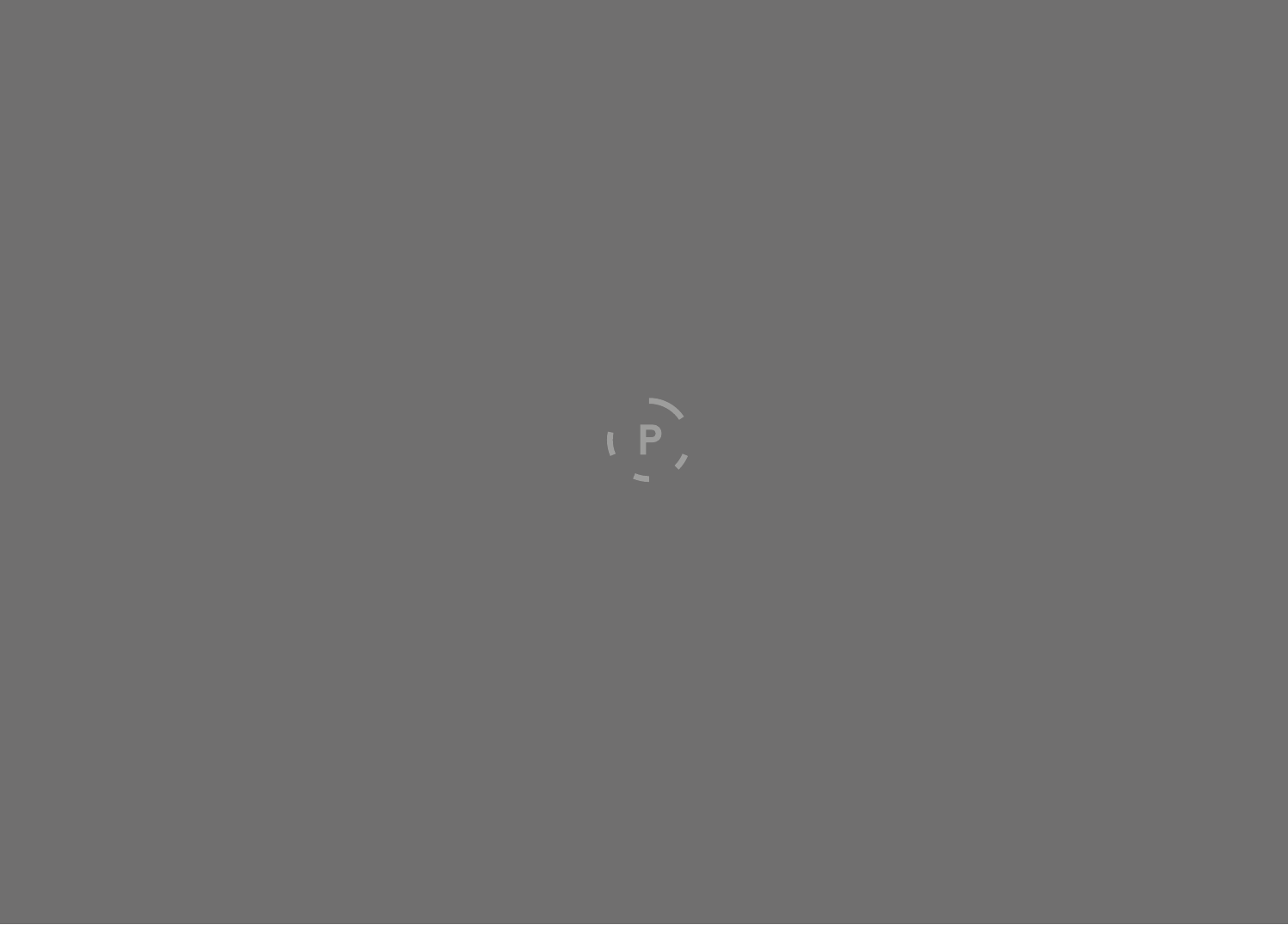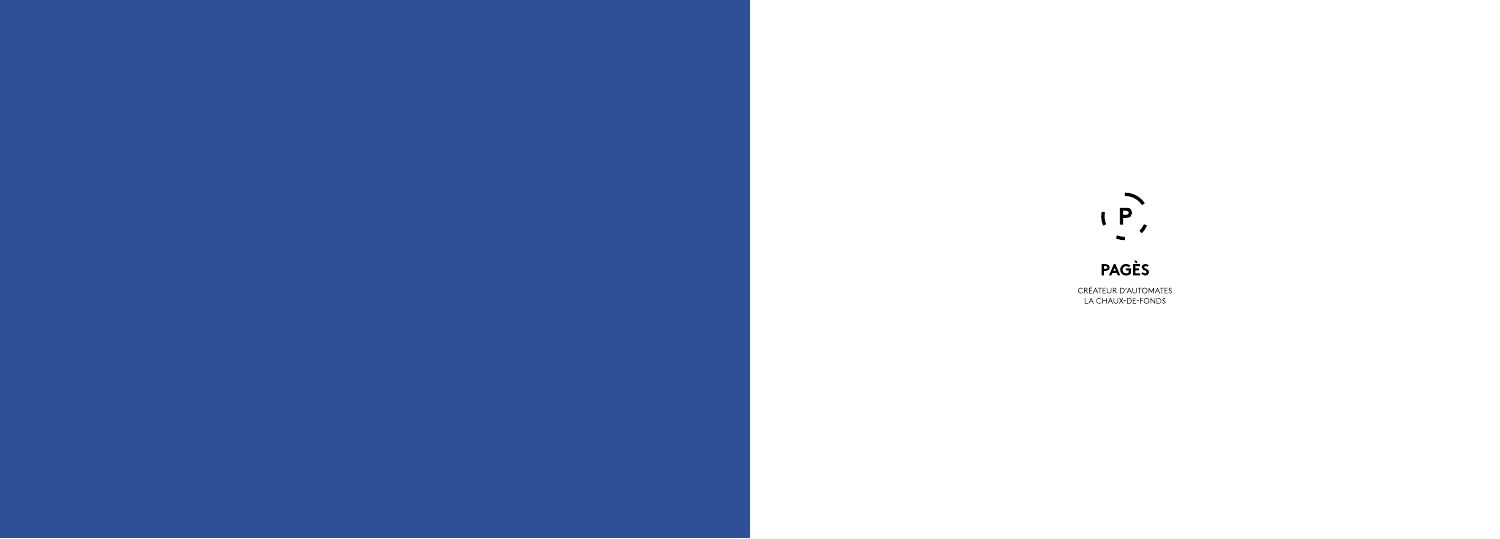## $\overrightarrow{P}$

## **PAGÈS**

CRÉATEUR D'AUTOMATES<br>LA CHAUX-DE-FONDS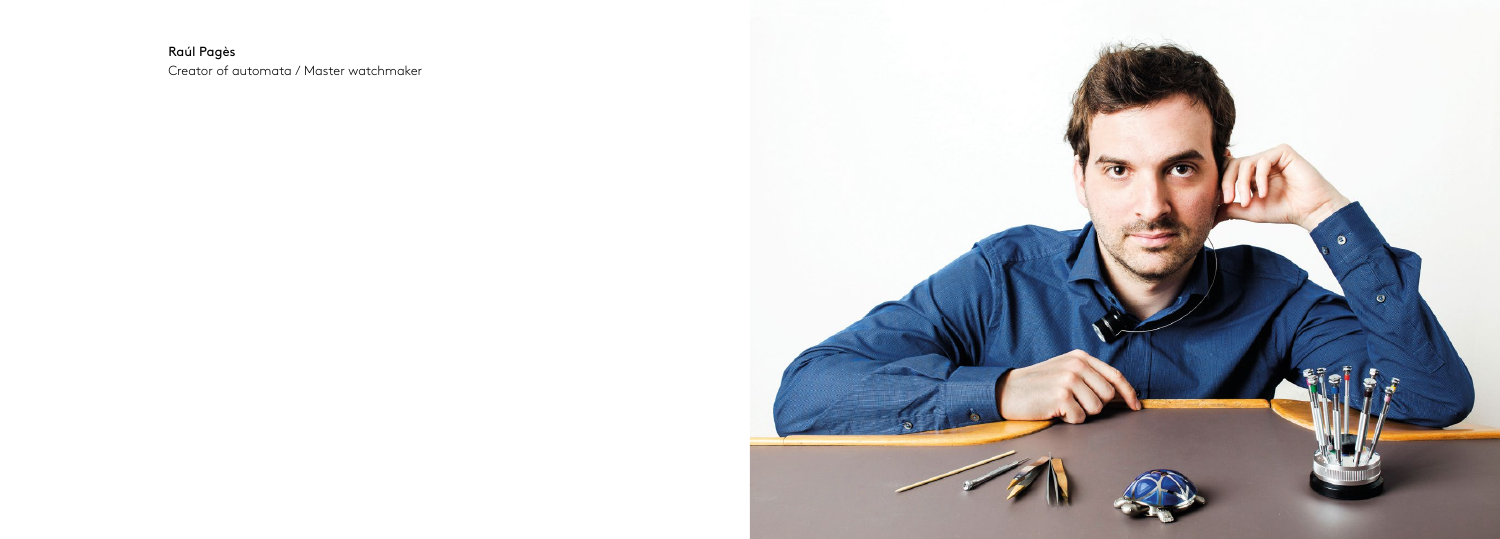## Raúl Pagès

Creator of automata / Master watchmaker

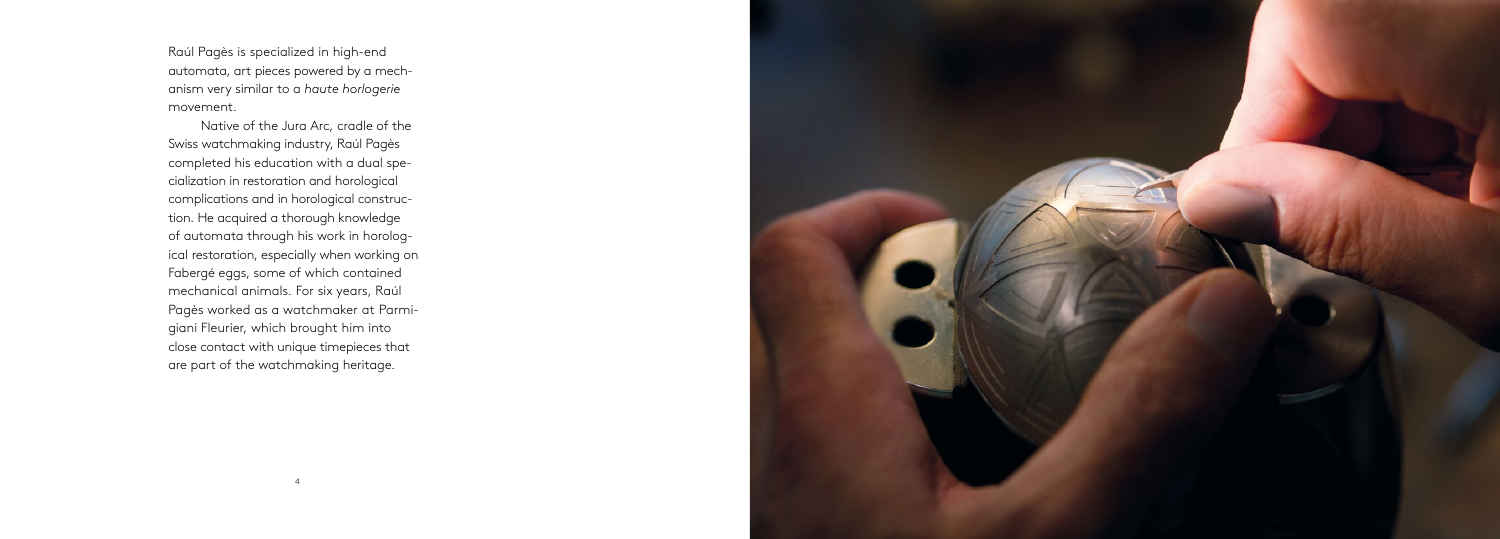4

Raúl Pagès is specialized in high-end automata, art pieces powered by a mechanism very similar to a *haute horlogerie* movement.

Native of the Jura Arc, cradle of the Swiss watchmaking industry, Raúl Pagès completed his education with a dual specialization in restoration and horological complications and in horological construction. He acquired a thorough knowledge of automata through his work in horological restoration, especially when working on Fabergé eggs, some of which contained mechanical animals. For six years, Raúl Pagès worked as a watchmaker at Parmigiani Fleurier, which brought him into close contact with unique timepieces that are part of the watchmaking heritage.

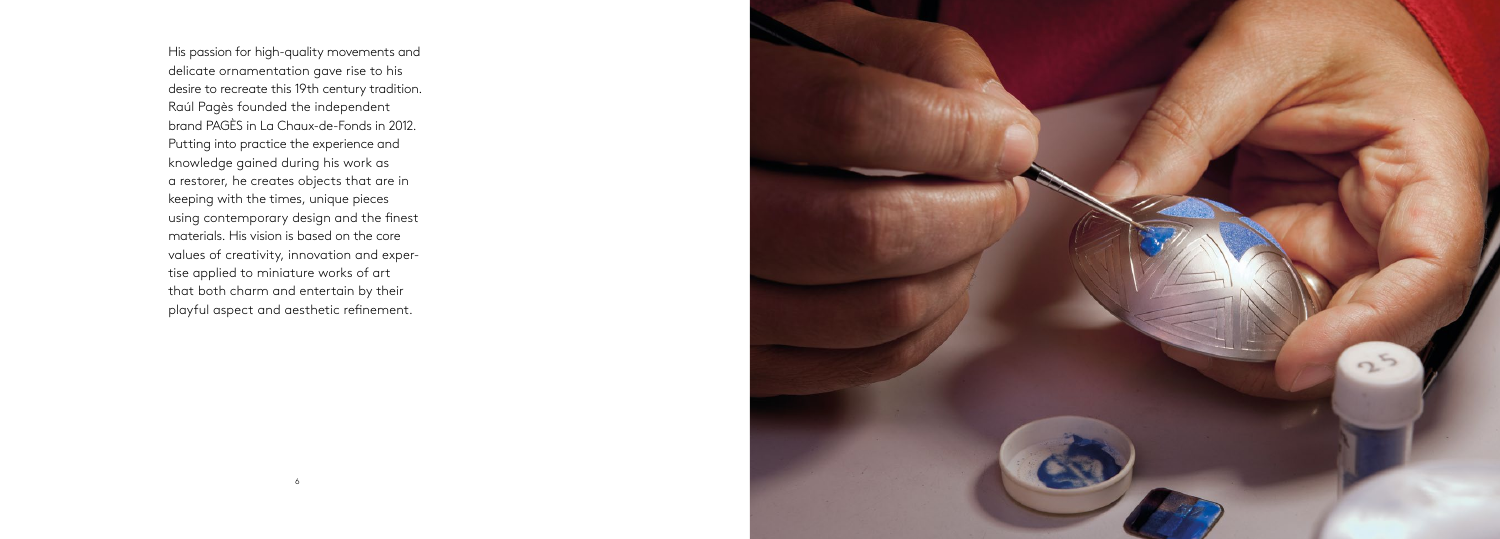His passion for high-quality movements and delicate ornamentation gave rise to his desire to recreate this 19th century tradition. Raúl Pagès founded the independent brand PAGÈS in La Chaux-de-Fonds in 2012. Putting into practice the experience and knowledge gained during his work as a restorer, he creates objects that are in keeping with the times, unique pieces using contemporary design and the finest materials. His vision is based on the core values of creativity, innovation and expertise applied to miniature works of art that both charm and entertain by their playful aspect and aesthetic refinement.

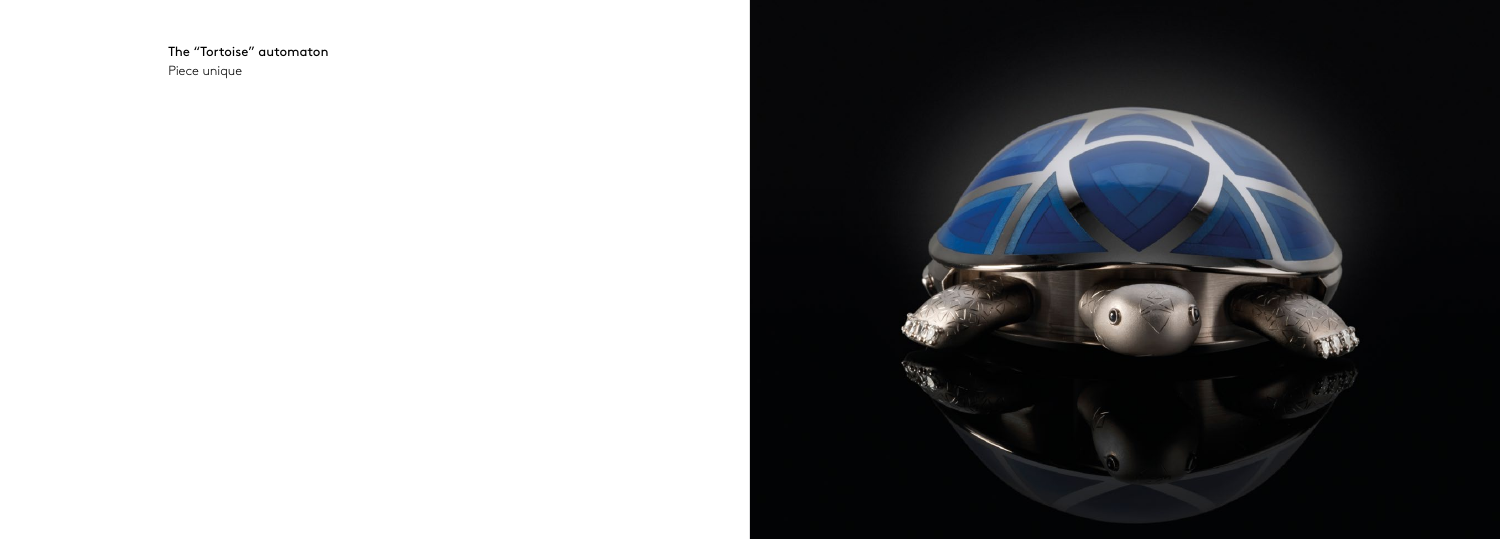The "Tortoise" automaton Piece unique

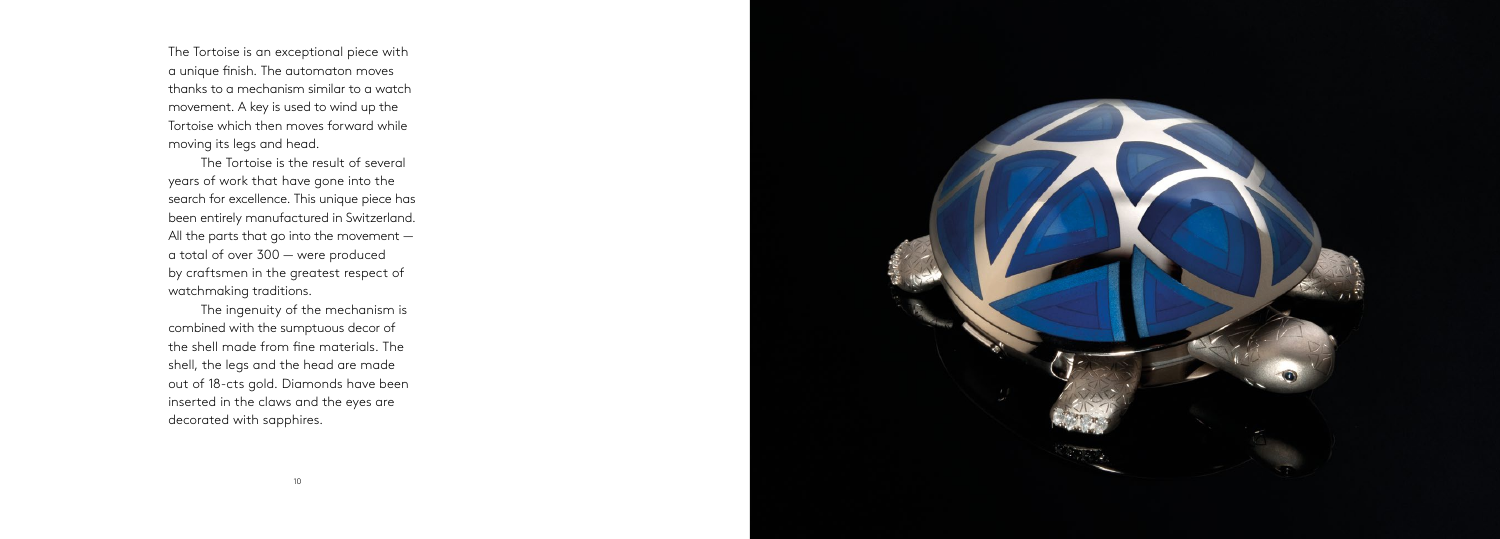10

The Tortoise is an exceptional piece with a unique finish. The automaton moves thanks to a mechanism similar to a watch movement. A key is used to wind up the Tortoise which then moves forward while moving its legs and head.

The Tortoise is the result of several years of work that have gone into the search for excellence. This unique piece has been entirely manufactured in Switzerland. All the parts that go into the movement a total of over 300 — were produced by craftsmen in the greatest respect of watchmaking traditions.

The ingenuity of the mechanism is combined with the sumptuous decor of the shell made from fine materials. The shell, the legs and the head are made out of 18-cts gold. Diamonds have been inserted in the claws and the eyes are decorated with sapphires.

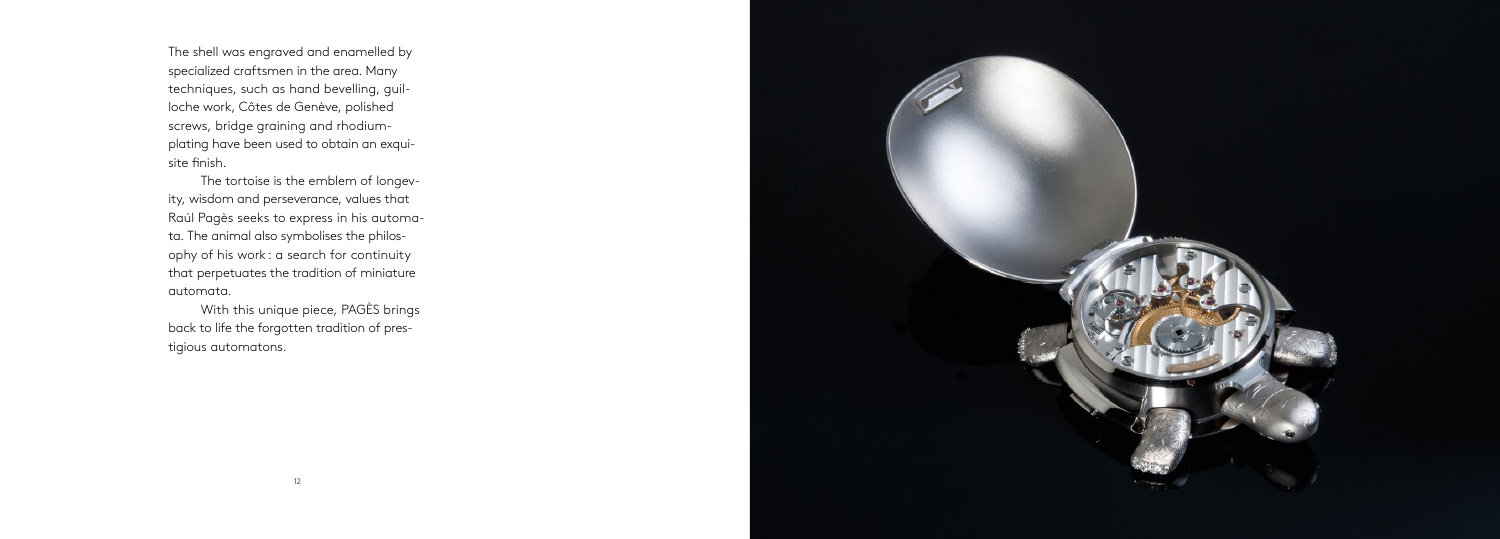The shell was engraved and enamelled by specialized craftsmen in the area. Many techniques, such as hand bevelling, guilloche work, Côtes de Genève, polished screws, bridge graining and rhodiumplating have been used to obtain an exquisite finish.

The tortoise is the emblem of longevity, wisdom and perseverance, values that Raúl Pagès seeks to express in his automata. The animal also symbolises the philosophy of his work : a search for continuity that perpetuates the tradition of miniature automata.

With this unique piece, PAGÈS brings back to life the forgotten tradition of prestigious automatons.

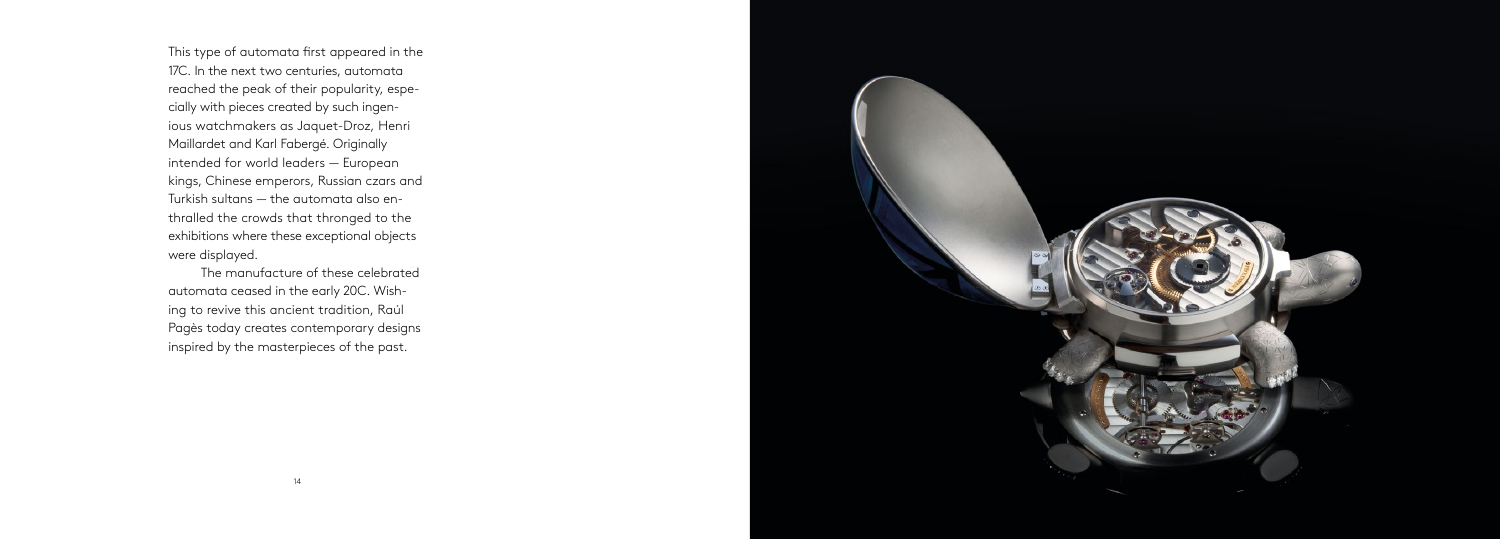This type of automata first appeared in the 17C. In the next two centuries, automata reached the peak of their popularity, especially with pieces created by such ingenious watchmakers as Jaquet-Droz, Henri Maillardet and Karl Fabergé. Originally intended for world leaders — European kings, Chinese emperors, Russian czars and Turkish sultans — the automata also enthralled the crowds that thronged to the exhibitions where these exceptional objects were displayed.

The manufacture of these celebrated automata ceased in the early 20C. Wishing to revive this ancient tradition, Raúl Pagès today creates contemporary designs inspired by the masterpieces of the past.